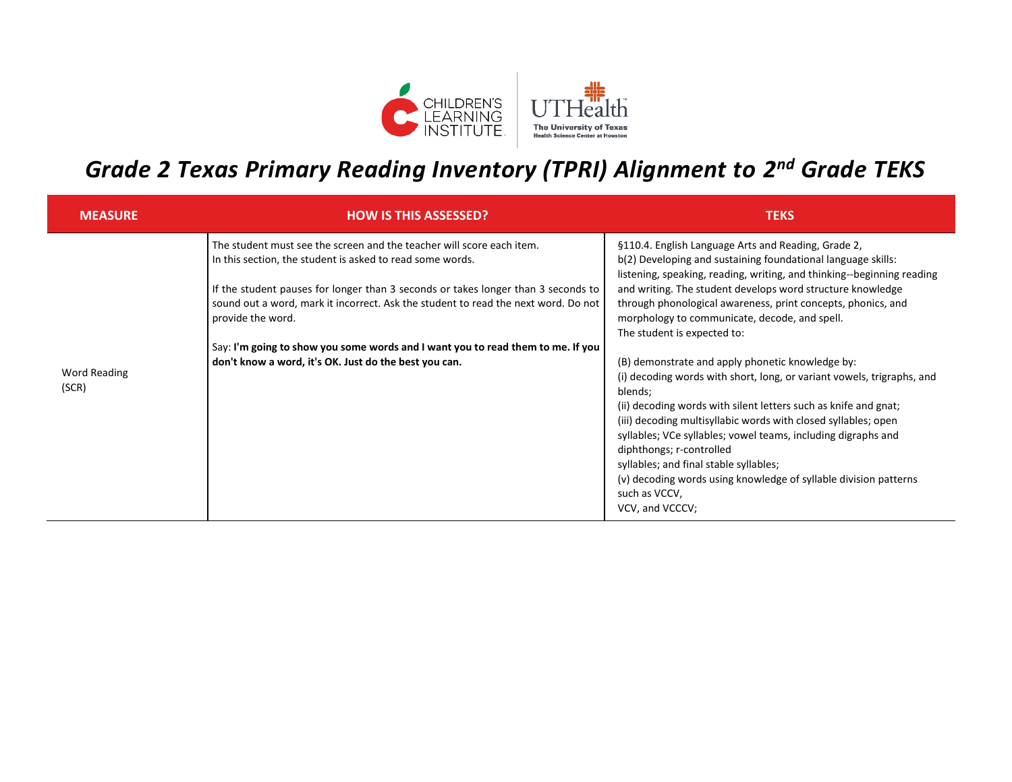

## *Grade 2 Texas Primary Reading Inventory (TPRI) Alignment to 2 nd Grade TEKS*

| <b>MEASURE</b>               | <b>HOW IS THIS ASSESSED?</b>                                                                                                                                                                                                                                                                                                                                                                                                                                                   | <b>TEKS</b>                                                                                                                                                                                                                                                                                                                                                                                                                                                                                                                                                                                                                                                                                                                                                                                                                                                                                                                              |
|------------------------------|--------------------------------------------------------------------------------------------------------------------------------------------------------------------------------------------------------------------------------------------------------------------------------------------------------------------------------------------------------------------------------------------------------------------------------------------------------------------------------|------------------------------------------------------------------------------------------------------------------------------------------------------------------------------------------------------------------------------------------------------------------------------------------------------------------------------------------------------------------------------------------------------------------------------------------------------------------------------------------------------------------------------------------------------------------------------------------------------------------------------------------------------------------------------------------------------------------------------------------------------------------------------------------------------------------------------------------------------------------------------------------------------------------------------------------|
| <b>Word Reading</b><br>(SCR) | The student must see the screen and the teacher will score each item.<br>In this section, the student is asked to read some words.<br>If the student pauses for longer than 3 seconds or takes longer than 3 seconds to<br>sound out a word, mark it incorrect. Ask the student to read the next word. Do not<br>provide the word.<br>Say: I'm going to show you some words and I want you to read them to me. If you<br>don't know a word, it's OK. Just do the best you can. | §110.4. English Language Arts and Reading, Grade 2,<br>b(2) Developing and sustaining foundational language skills:<br>listening, speaking, reading, writing, and thinking--beginning reading<br>and writing. The student develops word structure knowledge<br>through phonological awareness, print concepts, phonics, and<br>morphology to communicate, decode, and spell.<br>The student is expected to:<br>(B) demonstrate and apply phonetic knowledge by:<br>(i) decoding words with short, long, or variant vowels, trigraphs, and<br>blends;<br>(ii) decoding words with silent letters such as knife and gnat;<br>(iii) decoding multisyllabic words with closed syllables; open<br>syllables; VCe syllables; vowel teams, including digraphs and<br>diphthongs; r-controlled<br>syllables; and final stable syllables;<br>(v) decoding words using knowledge of syllable division patterns<br>such as VCCV,<br>VCV, and VCCCV; |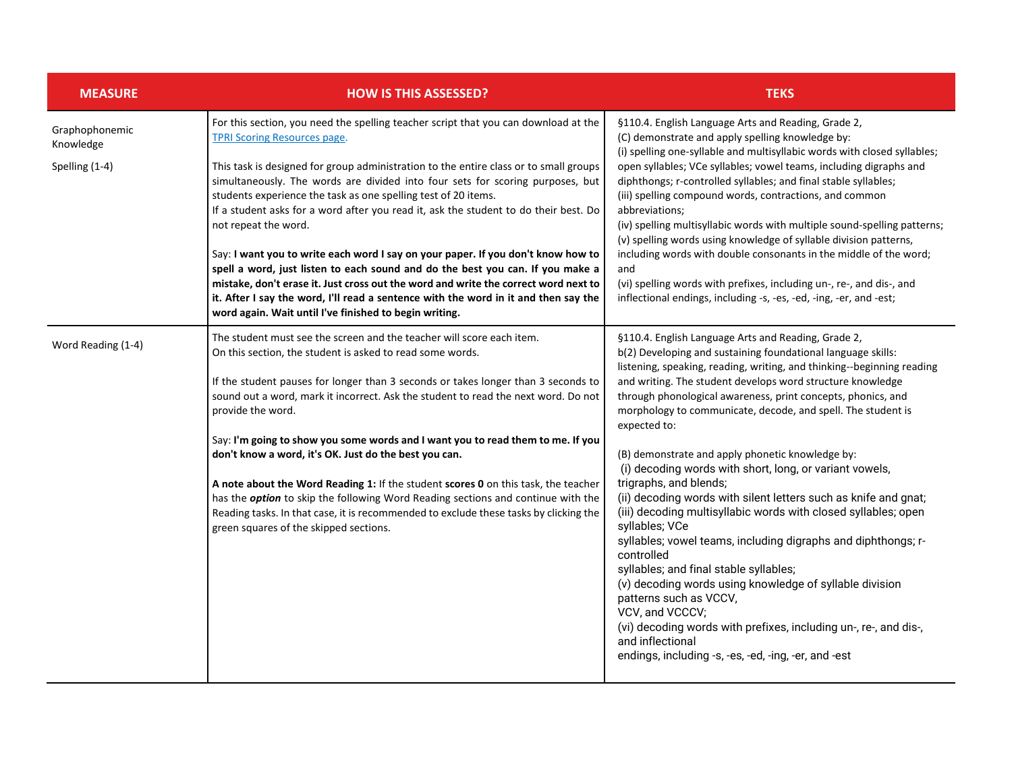| <b>MEASURE</b>                                | <b>HOW IS THIS ASSESSED?</b>                                                                                                                                                                                                                                                                                                                                                                                                                                                                                                                                                                                                                                                                                                                                                                       | <b>TEKS</b>                                                                                                                                                                                                                                                                                                                                                                                                                                                                                                                                                                                                                                                                                                                                                                                                                                                                                                                                                                                                                                                                                  |
|-----------------------------------------------|----------------------------------------------------------------------------------------------------------------------------------------------------------------------------------------------------------------------------------------------------------------------------------------------------------------------------------------------------------------------------------------------------------------------------------------------------------------------------------------------------------------------------------------------------------------------------------------------------------------------------------------------------------------------------------------------------------------------------------------------------------------------------------------------------|----------------------------------------------------------------------------------------------------------------------------------------------------------------------------------------------------------------------------------------------------------------------------------------------------------------------------------------------------------------------------------------------------------------------------------------------------------------------------------------------------------------------------------------------------------------------------------------------------------------------------------------------------------------------------------------------------------------------------------------------------------------------------------------------------------------------------------------------------------------------------------------------------------------------------------------------------------------------------------------------------------------------------------------------------------------------------------------------|
| Graphophonemic<br>Knowledge<br>Spelling (1-4) | For this section, you need the spelling teacher script that you can download at the<br><b>TPRI Scoring Resources page.</b><br>This task is designed for group administration to the entire class or to small groups<br>simultaneously. The words are divided into four sets for scoring purposes, but<br>students experience the task as one spelling test of 20 items.<br>If a student asks for a word after you read it, ask the student to do their best. Do<br>not repeat the word.<br>Say: I want you to write each word I say on your paper. If you don't know how to<br>spell a word, just listen to each sound and do the best you can. If you make a                                                                                                                                      | §110.4. English Language Arts and Reading, Grade 2,<br>(C) demonstrate and apply spelling knowledge by:<br>(i) spelling one-syllable and multisyllabic words with closed syllables;<br>open syllables; VCe syllables; vowel teams, including digraphs and<br>diphthongs; r-controlled syllables; and final stable syllables;<br>(iii) spelling compound words, contractions, and common<br>abbreviations;<br>(iv) spelling multisyllabic words with multiple sound-spelling patterns;<br>(v) spelling words using knowledge of syllable division patterns,<br>including words with double consonants in the middle of the word;<br>and                                                                                                                                                                                                                                                                                                                                                                                                                                                       |
|                                               | mistake, don't erase it. Just cross out the word and write the correct word next to<br>it. After I say the word, I'll read a sentence with the word in it and then say the<br>word again. Wait until I've finished to begin writing.                                                                                                                                                                                                                                                                                                                                                                                                                                                                                                                                                               | (vi) spelling words with prefixes, including un-, re-, and dis-, and<br>inflectional endings, including -s, -es, -ed, -ing, -er, and -est;                                                                                                                                                                                                                                                                                                                                                                                                                                                                                                                                                                                                                                                                                                                                                                                                                                                                                                                                                   |
| Word Reading (1-4)                            | The student must see the screen and the teacher will score each item.<br>On this section, the student is asked to read some words.<br>If the student pauses for longer than 3 seconds or takes longer than 3 seconds to<br>sound out a word, mark it incorrect. Ask the student to read the next word. Do not<br>provide the word.<br>Say: I'm going to show you some words and I want you to read them to me. If you<br>don't know a word, it's OK. Just do the best you can.<br>A note about the Word Reading 1: If the student scores 0 on this task, the teacher<br>has the <i>option</i> to skip the following Word Reading sections and continue with the<br>Reading tasks. In that case, it is recommended to exclude these tasks by clicking the<br>green squares of the skipped sections. | §110.4. English Language Arts and Reading, Grade 2,<br>b(2) Developing and sustaining foundational language skills:<br>listening, speaking, reading, writing, and thinking--beginning reading<br>and writing. The student develops word structure knowledge<br>through phonological awareness, print concepts, phonics, and<br>morphology to communicate, decode, and spell. The student is<br>expected to:<br>(B) demonstrate and apply phonetic knowledge by:<br>(i) decoding words with short, long, or variant vowels,<br>trigraphs, and blends;<br>(ii) decoding words with silent letters such as knife and gnat;<br>(iii) decoding multisyllabic words with closed syllables; open<br>syllables; VCe<br>syllables; vowel teams, including digraphs and diphthongs; r-<br>controlled<br>syllables; and final stable syllables;<br>(v) decoding words using knowledge of syllable division<br>patterns such as VCCV,<br>VCV, and VCCCV;<br>(vi) decoding words with prefixes, including un-, re-, and dis-,<br>and inflectional<br>endings, including -s, -es, -ed, -ing, -er, and -est |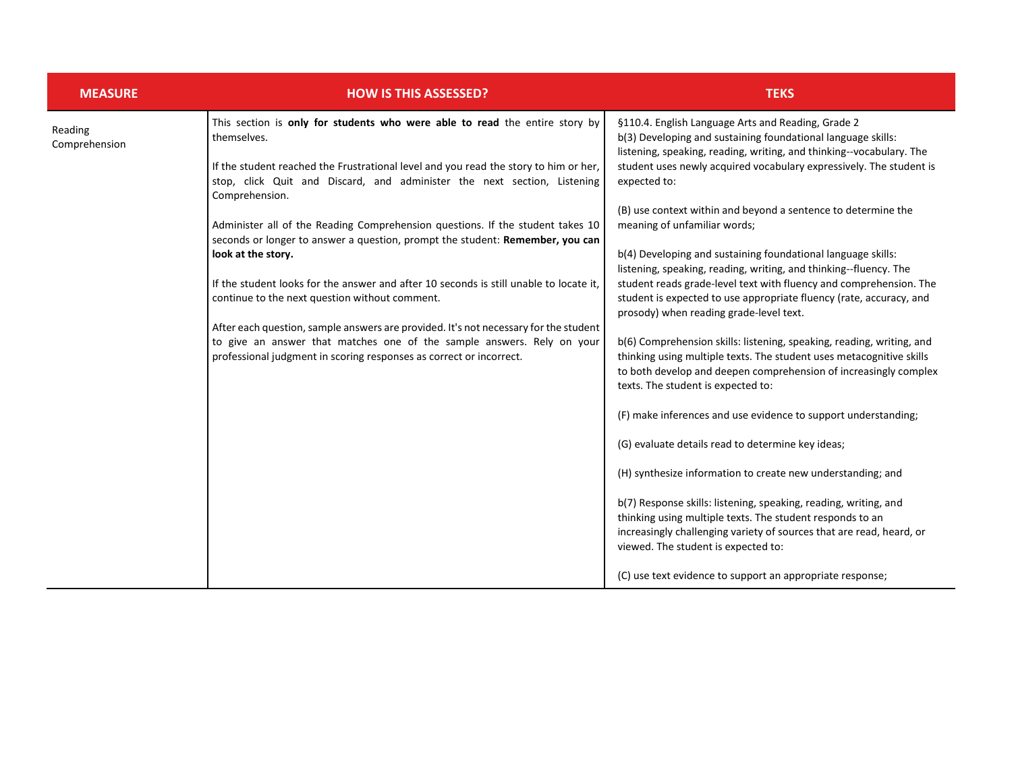| <b>MEASURE</b>           | <b>HOW IS THIS ASSESSED?</b>                                                                                                                                                                                                                                                                                                                                                                                                                                                                                                                                                                                                                                                                                                                                                                                                                                   | <b>TEKS</b>                                                                                                                                                                                                                                                                                                                                                                                                                                                                                                                                                                                                                                                                                                                                                                                                                                                                                                                                                                                                                                                                                                                                                                                                                                                                                                                                                                                                                                                                   |
|--------------------------|----------------------------------------------------------------------------------------------------------------------------------------------------------------------------------------------------------------------------------------------------------------------------------------------------------------------------------------------------------------------------------------------------------------------------------------------------------------------------------------------------------------------------------------------------------------------------------------------------------------------------------------------------------------------------------------------------------------------------------------------------------------------------------------------------------------------------------------------------------------|-------------------------------------------------------------------------------------------------------------------------------------------------------------------------------------------------------------------------------------------------------------------------------------------------------------------------------------------------------------------------------------------------------------------------------------------------------------------------------------------------------------------------------------------------------------------------------------------------------------------------------------------------------------------------------------------------------------------------------------------------------------------------------------------------------------------------------------------------------------------------------------------------------------------------------------------------------------------------------------------------------------------------------------------------------------------------------------------------------------------------------------------------------------------------------------------------------------------------------------------------------------------------------------------------------------------------------------------------------------------------------------------------------------------------------------------------------------------------------|
| Reading<br>Comprehension | This section is only for students who were able to read the entire story by<br>themselves.<br>If the student reached the Frustrational level and you read the story to him or her,<br>stop, click Quit and Discard, and administer the next section, Listening<br>Comprehension.<br>Administer all of the Reading Comprehension questions. If the student takes 10<br>seconds or longer to answer a question, prompt the student: Remember, you can<br>look at the story.<br>If the student looks for the answer and after 10 seconds is still unable to locate it,<br>continue to the next question without comment.<br>After each question, sample answers are provided. It's not necessary for the student<br>to give an answer that matches one of the sample answers. Rely on your<br>professional judgment in scoring responses as correct or incorrect. | §110.4. English Language Arts and Reading, Grade 2<br>b(3) Developing and sustaining foundational language skills:<br>listening, speaking, reading, writing, and thinking--vocabulary. The<br>student uses newly acquired vocabulary expressively. The student is<br>expected to:<br>(B) use context within and beyond a sentence to determine the<br>meaning of unfamiliar words;<br>b(4) Developing and sustaining foundational language skills:<br>listening, speaking, reading, writing, and thinking--fluency. The<br>student reads grade-level text with fluency and comprehension. The<br>student is expected to use appropriate fluency (rate, accuracy, and<br>prosody) when reading grade-level text.<br>b(6) Comprehension skills: listening, speaking, reading, writing, and<br>thinking using multiple texts. The student uses metacognitive skills<br>to both develop and deepen comprehension of increasingly complex<br>texts. The student is expected to:<br>(F) make inferences and use evidence to support understanding;<br>(G) evaluate details read to determine key ideas;<br>(H) synthesize information to create new understanding; and<br>b(7) Response skills: listening, speaking, reading, writing, and<br>thinking using multiple texts. The student responds to an<br>increasingly challenging variety of sources that are read, heard, or<br>viewed. The student is expected to:<br>(C) use text evidence to support an appropriate response; |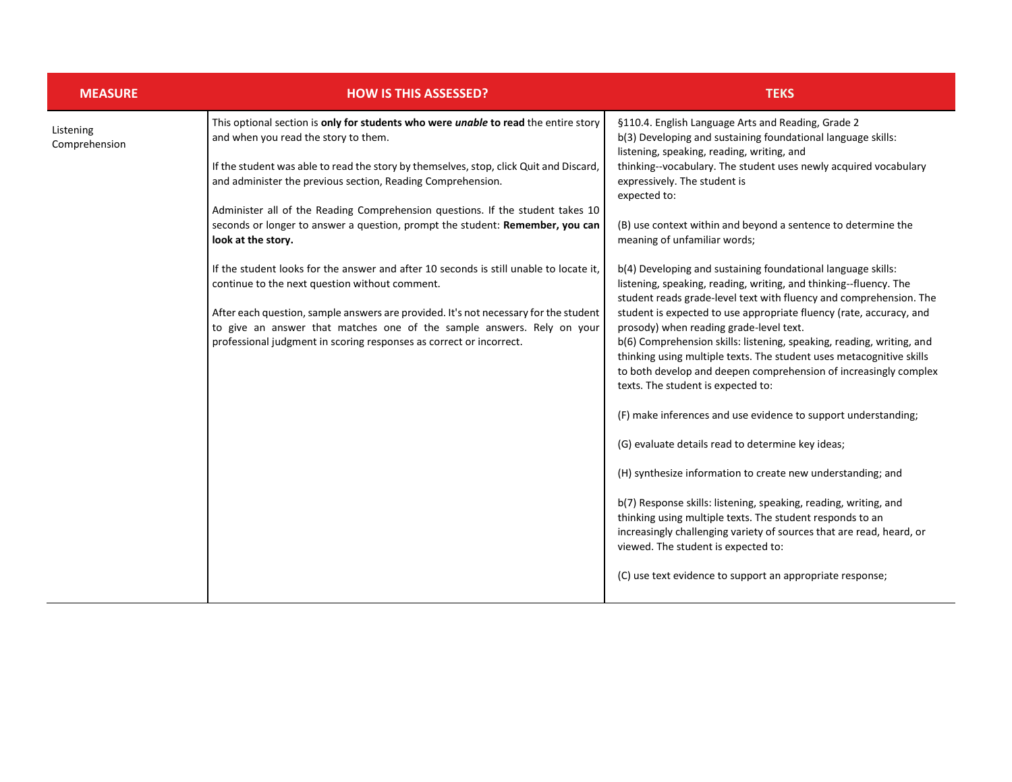| <b>MEASURE</b>             | <b>HOW IS THIS ASSESSED?</b>                                                                                                                                                                                                          | <b>TEKS</b>                                                                                                                                                                                                                                                                                                                                                                                                                                     |
|----------------------------|---------------------------------------------------------------------------------------------------------------------------------------------------------------------------------------------------------------------------------------|-------------------------------------------------------------------------------------------------------------------------------------------------------------------------------------------------------------------------------------------------------------------------------------------------------------------------------------------------------------------------------------------------------------------------------------------------|
| Listening<br>Comprehension | This optional section is only for students who were unable to read the entire story<br>and when you read the story to them.                                                                                                           | §110.4. English Language Arts and Reading, Grade 2<br>b(3) Developing and sustaining foundational language skills:<br>listening, speaking, reading, writing, and                                                                                                                                                                                                                                                                                |
|                            | If the student was able to read the story by themselves, stop, click Quit and Discard,<br>and administer the previous section, Reading Comprehension.                                                                                 | thinking--vocabulary. The student uses newly acquired vocabulary<br>expressively. The student is<br>expected to:                                                                                                                                                                                                                                                                                                                                |
|                            | Administer all of the Reading Comprehension questions. If the student takes 10                                                                                                                                                        |                                                                                                                                                                                                                                                                                                                                                                                                                                                 |
|                            | seconds or longer to answer a question, prompt the student: Remember, you can<br>look at the story.                                                                                                                                   | (B) use context within and beyond a sentence to determine the<br>meaning of unfamiliar words;                                                                                                                                                                                                                                                                                                                                                   |
|                            | If the student looks for the answer and after 10 seconds is still unable to locate it,<br>continue to the next question without comment.                                                                                              | b(4) Developing and sustaining foundational language skills:<br>listening, speaking, reading, writing, and thinking--fluency. The                                                                                                                                                                                                                                                                                                               |
|                            | After each question, sample answers are provided. It's not necessary for the student<br>to give an answer that matches one of the sample answers. Rely on your<br>professional judgment in scoring responses as correct or incorrect. | student reads grade-level text with fluency and comprehension. The<br>student is expected to use appropriate fluency (rate, accuracy, and<br>prosody) when reading grade-level text.<br>b(6) Comprehension skills: listening, speaking, reading, writing, and<br>thinking using multiple texts. The student uses metacognitive skills<br>to both develop and deepen comprehension of increasingly complex<br>texts. The student is expected to: |
|                            |                                                                                                                                                                                                                                       | (F) make inferences and use evidence to support understanding;                                                                                                                                                                                                                                                                                                                                                                                  |
|                            |                                                                                                                                                                                                                                       | (G) evaluate details read to determine key ideas;                                                                                                                                                                                                                                                                                                                                                                                               |
|                            |                                                                                                                                                                                                                                       | (H) synthesize information to create new understanding; and                                                                                                                                                                                                                                                                                                                                                                                     |
|                            |                                                                                                                                                                                                                                       | b(7) Response skills: listening, speaking, reading, writing, and<br>thinking using multiple texts. The student responds to an<br>increasingly challenging variety of sources that are read, heard, or<br>viewed. The student is expected to:                                                                                                                                                                                                    |
|                            |                                                                                                                                                                                                                                       | (C) use text evidence to support an appropriate response;                                                                                                                                                                                                                                                                                                                                                                                       |